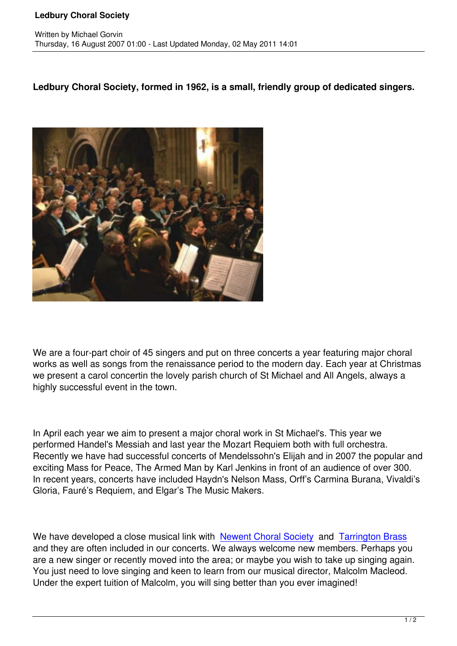**Ledbury Choral Society, formed in 1962, is a small, friendly group of dedicated singers.**



We are a four-part choir of 45 singers and put on three concerts a year featuring major choral works as well as songs from the renaissance period to the modern day. Each year at Christmas we present a carol concertin the lovely parish church of St Michael and All Angels, always a highly successful event in the town.

In April each year we aim to present a major choral work in St Michael's. This year we performed Handel's Messiah and last year the Mozart Requiem both with full orchestra. Recently we have had successful concerts of Mendelssohn's Elijah and in 2007 the popular and exciting Mass for Peace, The Armed Man by Karl Jenkins in front of an audience of over 300. In recent years, concerts have included Haydn's Nelson Mass, Orff's Carmina Burana, Vivaldi's Gloria, Fauré's Requiem, and Elgar's The Music Makers.

We have developed a close musical link with Newent Choral Society and Tarrington Brass and they are often included in our concerts. We always welcome new members. Perhaps you are a new singer or recently moved into the area; or maybe you wish to take up singing again. You just need to love singing and keen to lear[n from our musical direc](http://www.freewebs.com/newentchoralsoc/)tor, [Malcolm Macleod.](http://www.tarringtonbrass.org/) Under the expert tuition of Malcolm, you will sing better than you ever imagined!